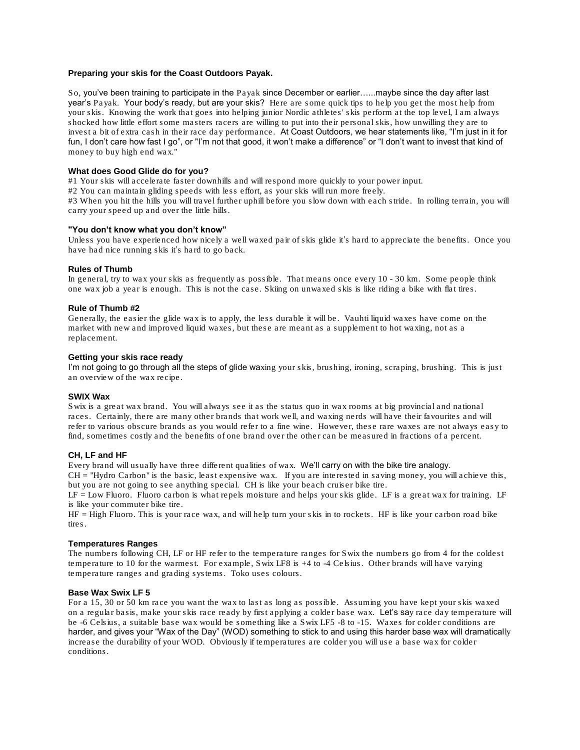## **Preparing your skis for the Coast Outdoors Payak.**

So, you've been training to participate in the Payak since December or earlier…...maybe since the day after last year's Payak. Your body's ready, but are your skis? Here are some quick tips to help you get the most help from your skis. Knowing the work that goes into helping junior Nordic athletes' skis perform at the top level, I am always shocked how little effort some masters racers are willing to put into their personal skis, how unwilling they are to invest a bit of extra cash in their race day performance. At Coast Outdoors, we hear statements like, "I'm just in it for fun, I don't care how fast I go", or "I'm not that good, it won't make a difference" or "I don't want to invest that kind of money to buy high end wax."

## **What does Good Glide do for you?**

#1 Your skis will accelerate faster downhills and will respond more quickly to your power input.

#2 You can maintain gliding speeds with less effort, as your skis will run more freely.

#3 When you hit the hills you will travel further uphill before you slow down with each stride. In rolling terrain, you will carry your speed up and over the little hills.

#### **"You don't know what you don't know"**

Unless you have experienced how nicely a well waxed pair of skis glide it's hard to appreciate the benefits. Once you have had nice running skis it's hard to go back.

#### **Rules of Thumb**

In general, try to wax your skis as frequently as possible. That means once every 10 - 30 km. Some people think one wax job a year is enough. This is not the case. Skiing on unwaxed skis is like riding a bike with flat tires.

## **Rule of Thumb #2**

Generally, the easier the glide wax is to apply, the less durable it will be. Vauhti liquid waxes have come on the market with new and improved liquid waxes, but these are meant as a supplement to hot waxing, not as a replacement.

# **Getting your skis race ready**

I'm not going to go through all the steps of glide waxing your skis, brushing, ironing, scraping, brushing. This is just an overview of the wax recipe.

#### **SWIX Wax**

Swix is a great wax brand. You will always see it as the status quo in wax rooms at big provincial and national races. Certainly, there are many other brands that work well, and waxing nerds will have their favourites and will refer to various obscure brands as you would refer to a fine wine. However, these rare waxes are not always easy to find, sometimes costly and the benefits of one brand over the other can be measured in fractions of a percent.

#### **CH, LF and HF**

Every brand will usually have three different qualities of wax. We'll carry on with the bike tire analogy.

CH = "Hydro Carbon" is the basic, least expensive wax. If you are interested in saving money, you will achieve this, but you are not going to see anything special. CH is like your beach cruiser bike tire.

LF = Low Fluoro. Fluoro carbon is what repels moisture and helps your skis glide. LF is a great wax for training. LF is like your commuter bike tire.

HF = High Fluoro. This is your race wax, and will help turn your skis in to rockets. HF is like your carbon road bike tires.

#### **Temperatures Ranges**

The numbers following CH, LF or HF refer to the temperature ranges for Swix the numbers go from 4 for the coldest temperature to 10 for the warmest. For example, Swix LF8 is +4 to -4 Celsius. Other brands will have varying temperature ranges and grading systems. Toko uses colours.

## **Base Wax Swix LF 5**

For a 15, 30 or 50 km race you want the wax to last as long as possible. Assuming you have kept your skis waxed on a regular basis, make your skis race ready by first applying a colder base wax. Let's say race day temperature will be -6 Celsius, a suitable base wax would be something like a Swix LF5 -8 to -15. Waxes for colder conditions are harder, and gives your "Wax of the Day" (WOD) something to stick to and using this harder base wax will dramatically increase the durability of your WOD. Obviously if temperatures are colder you will use a base wax for colder conditions.